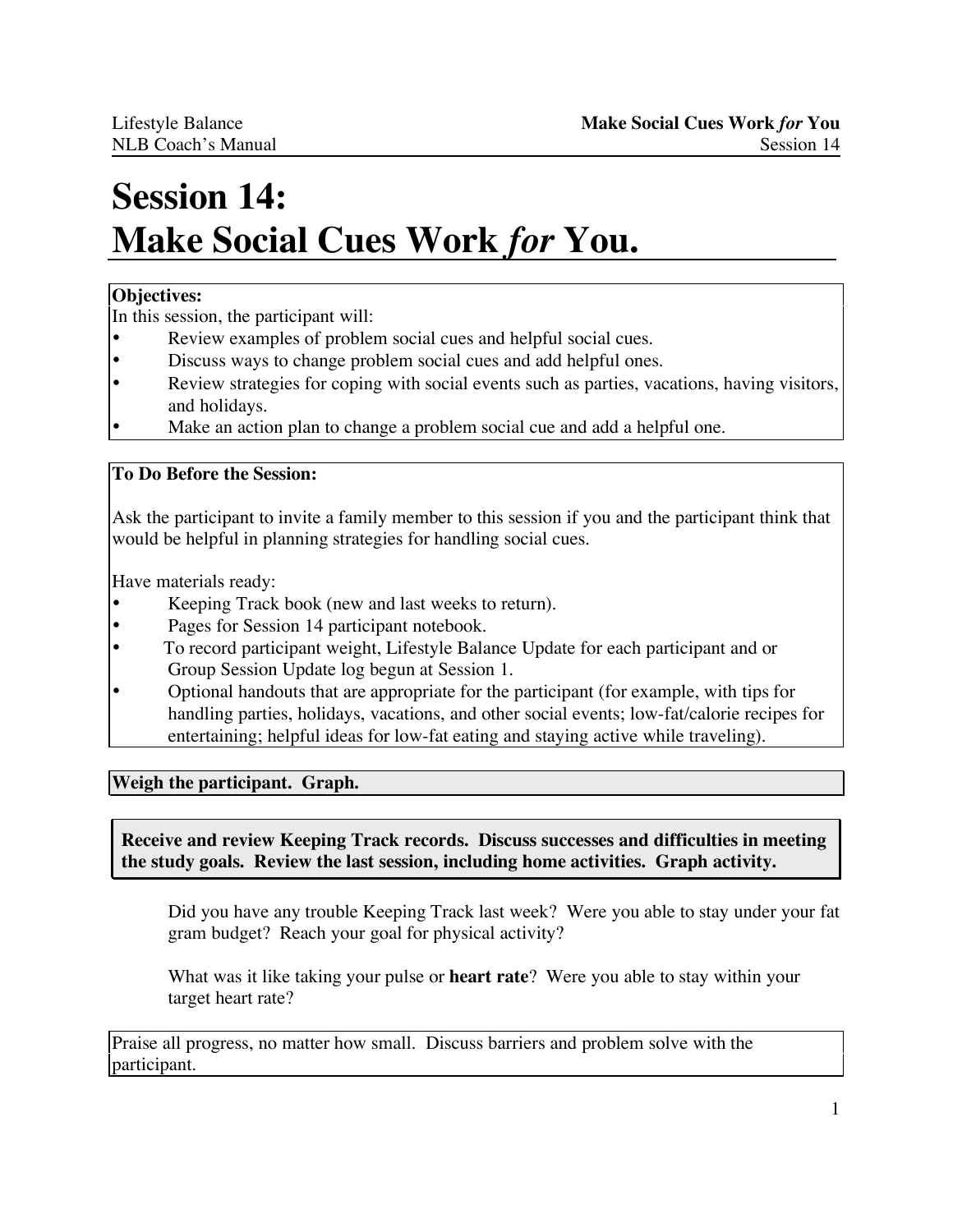# **Session 14: Make Social Cues Work** *for* **You.**

# **Objectives:**

In this session, the participant will:

- Review examples of problem social cues and helpful social cues.<br>• Discuss we're abone problem social ques and add helpful ones
- Discuss ways to change problem social cues and add helpful ones.
- Review strategies for coping with social events such as parties, vacations, having visitors, and holidays.
- Make an action plan to change a problem social cue and add a helpful one.

# **To Do Before the Session:**

Ask the participant to invite a family member to this session if you and the participant think that would be helpful in planning strategies for handling social cues.

Have materials ready:

- Keeping Track book (new and last weeks to return).
- Pages for Session 14 participant notebook.
- To record participant weight, Lifestyle Balance Update for each participant and or Group Session Update log begun at Session 1.
- Optional handouts that are appropriate for the participant (for example, with tips for handling parties, holidays, vacations, and other social events; low-fat/calorie recipes for entertaining; helpful ideas for low-fat eating and staying active while traveling).

**Weigh the participant. Graph.**

**Receive and review Keeping Track records. Discuss successes and difficulties in meeting the study goals. Review the last session, including home activities. Graph activity.**

Did you have any trouble Keeping Track last week? Were you able to stay under your fat gram budget? Reach your goal for physical activity?

What was it like taking your pulse or **heart rate**? Were you able to stay within your target heart rate?

Praise all progress, no matter how small. Discuss barriers and problem solve with the participant.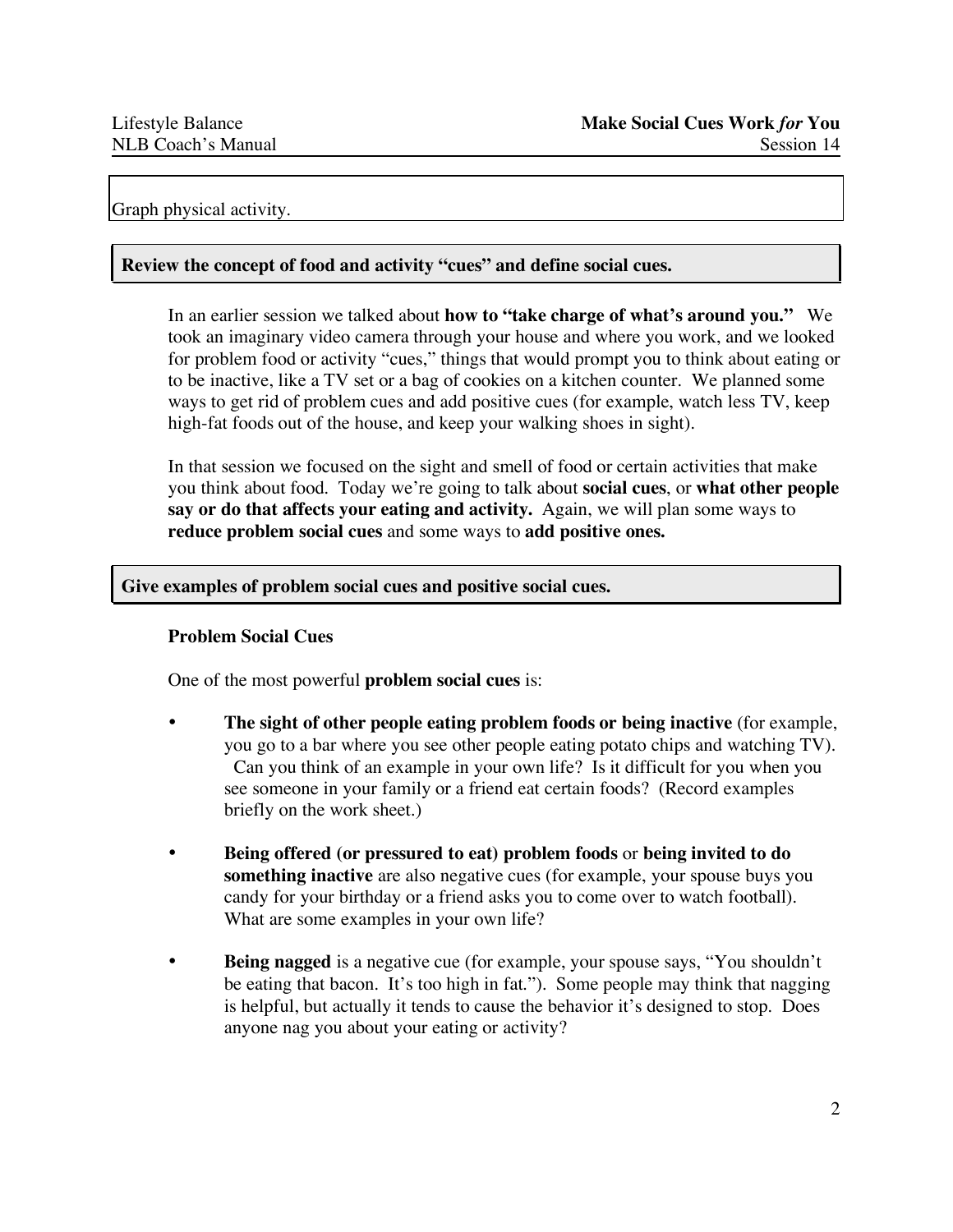# Graph physical activity.

## **Review the concept of food and activity "cues" and define social cues.**

In an earlier session we talked about **how to "take charge of what's around you."** We took an imaginary video camera through your house and where you work, and we looked for problem food or activity "cues," things that would prompt you to think about eating or to be inactive, like a TV set or a bag of cookies on a kitchen counter. We planned some ways to get rid of problem cues and add positive cues (for example, watch less TV, keep high-fat foods out of the house, and keep your walking shoes in sight).

In that session we focused on the sight and smell of food or certain activities that make you think about food. Today we're going to talk about **social cues**, or **what other people say or do that affects your eating and activity.** Again, we will plan some ways to **reduce problem social cues** and some ways to **add positive ones.**

## **Give examples of problem social cues and positive social cues.**

## **Problem Social Cues**

One of the most powerful **problem social cues** is:

- **The sight of other people eating problem foods or being inactive** (for example, you go to a bar where you see other people eating potato chips and watching TV). Can you think of an example in your own life? Is it difficult for you when you see someone in your family or a friend eat certain foods? (Record examples briefly on the work sheet.)
- **Being offered (or pressured to eat) problem foods** or **being invited to do something inactive** are also negative cues (for example, your spouse buys you candy for your birthday or a friend asks you to come over to watch football). What are some examples in your own life?
- **Being nagged** is a negative cue (for example, your spouse says, "You shouldn't be eating that bacon. It's too high in fat."). Some people may think that nagging is helpful, but actually it tends to cause the behavior it's designed to stop. Does anyone nag you about your eating or activity?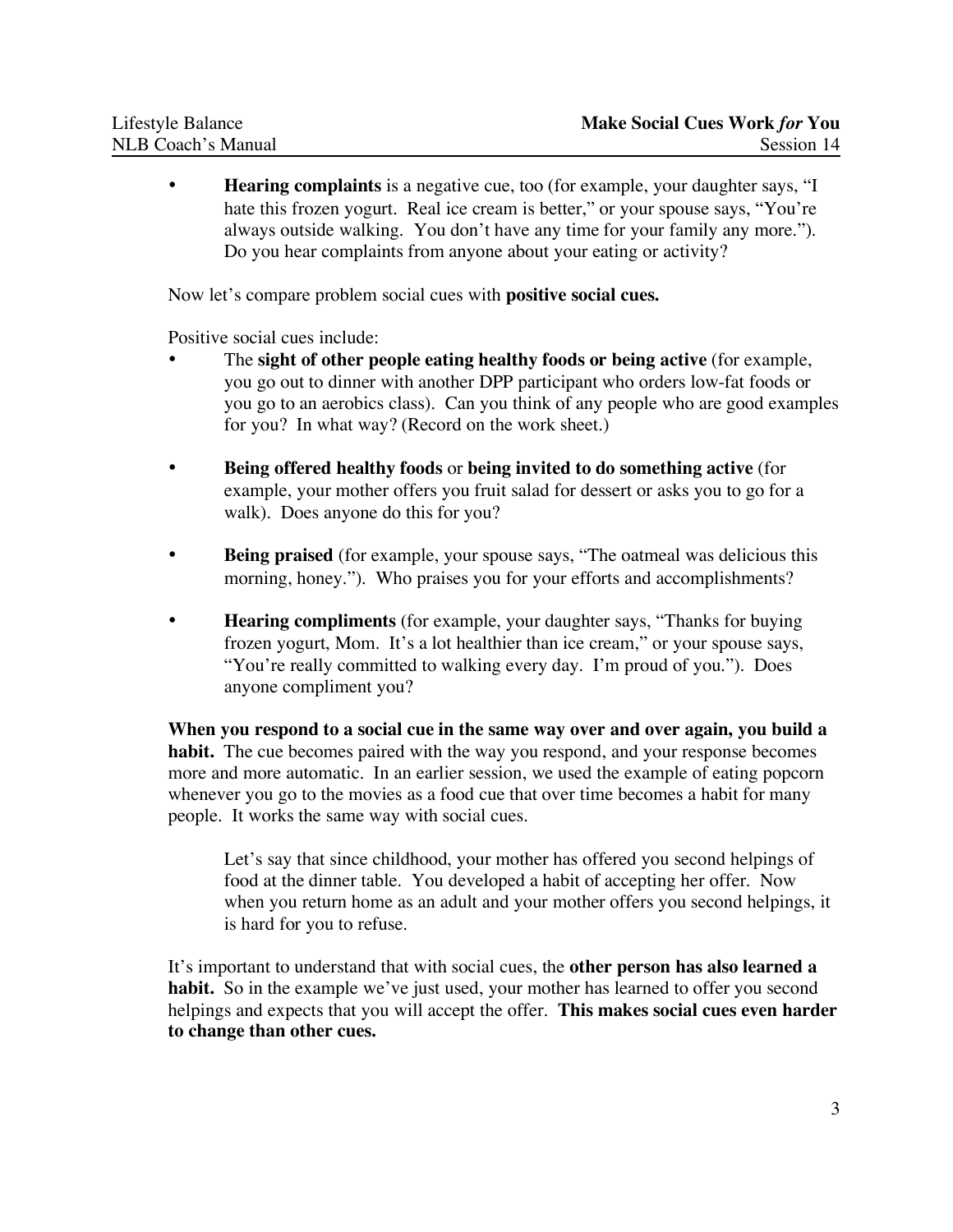**Hearing complaints** is a negative cue, too (for example, your daughter says, "I hate this frozen yogurt. Real ice cream is better," or your spouse says, "You're always outside walking. You don't have any time for your family any more."). Do you hear complaints from anyone about your eating or activity?

Now let's compare problem social cues with **positive social cues.**

Positive social cues include:

- The **sight of other people eating healthy foods or being active** (for example, you go out to dinner with another DPP participant who orders low-fat foods or you go to an aerobics class). Can you think of any people who are good examples for you? In what way? (Record on the work sheet.)
- **Being offered healthy foods** or **being invited to do something active** (for example, your mother offers you fruit salad for dessert or asks you to go for a walk). Does anyone do this for you?
- **Being praised** (for example, your spouse says, "The oatmeal was delicious this morning, honey."). Who praises you for your efforts and accomplishments?
- **Hearing compliments** (for example, your daughter says, "Thanks for buying frozen yogurt, Mom. It's a lot healthier than ice cream," or your spouse says, "You're really committed to walking every day. I'm proud of you."). Does anyone compliment you?

**When you respond to a social cue in the same way over and over again, you build a habit.** The cue becomes paired with the way you respond, and your response becomes more and more automatic. In an earlier session, we used the example of eating popcorn whenever you go to the movies as a food cue that over time becomes a habit for many people. It works the same way with social cues.

Let's say that since childhood, your mother has offered you second helpings of food at the dinner table. You developed a habit of accepting her offer. Now when you return home as an adult and your mother offers you second helpings, it is hard for you to refuse.

It's important to understand that with social cues, the **other person has also learned a habit.** So in the example we've just used, your mother has learned to offer you second helpings and expects that you will accept the offer. **This makes social cues even harder to change than other cues.**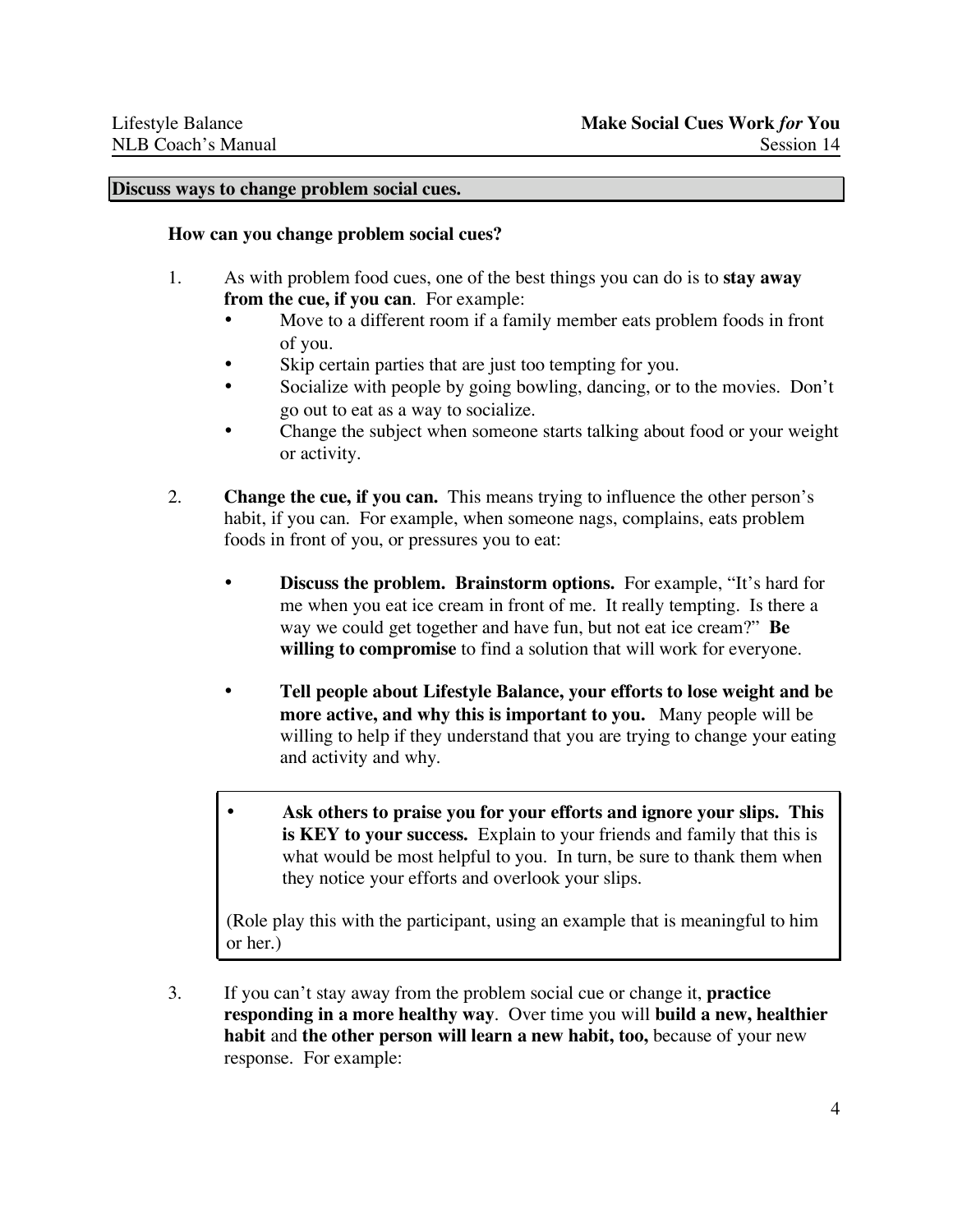#### **Discuss ways to change problem social cues.**

#### **How can you change problem social cues?**

- 1. As with problem food cues, one of the best things you can do is to **stay away from the cue, if you can**. For example:
	- Move to a different room if a family member eats problem foods in front of you.
	- Skip certain parties that are just too tempting for you.
	- Socialize with people by going bowling, dancing, or to the movies. Don't go out to eat as a way to socialize.
	- Change the subject when someone starts talking about food or your weight or activity.
- 2. **Change the cue, if you can.** This means trying to influence the other person's habit, if you can. For example, when someone nags, complains, eats problem foods in front of you, or pressures you to eat:
	- **Discuss the problem. Brainstorm options.** For example, "It's hard for me when you eat ice cream in front of me. It really tempting. Is there a way we could get together and have fun, but not eat ice cream?" **Be willing to compromise** to find a solution that will work for everyone.
	- **Tell people about Lifestyle Balance, your efforts to lose weight and be more active, and why this is important to you.** Many people will be willing to help if they understand that you are trying to change your eating and activity and why.
	- **Ask others to praise you for your efforts and ignore your slips. This is KEY to your success.** Explain to your friends and family that this is what would be most helpful to you. In turn, be sure to thank them when they notice your efforts and overlook your slips.

(Role play this with the participant, using an example that is meaningful to him or her.)

3. If you can't stay away from the problem social cue or change it, **practice responding in a more healthy way**. Over time you will **build a new, healthier habit** and **the other person will learn a new habit, too,** because of your new response. For example: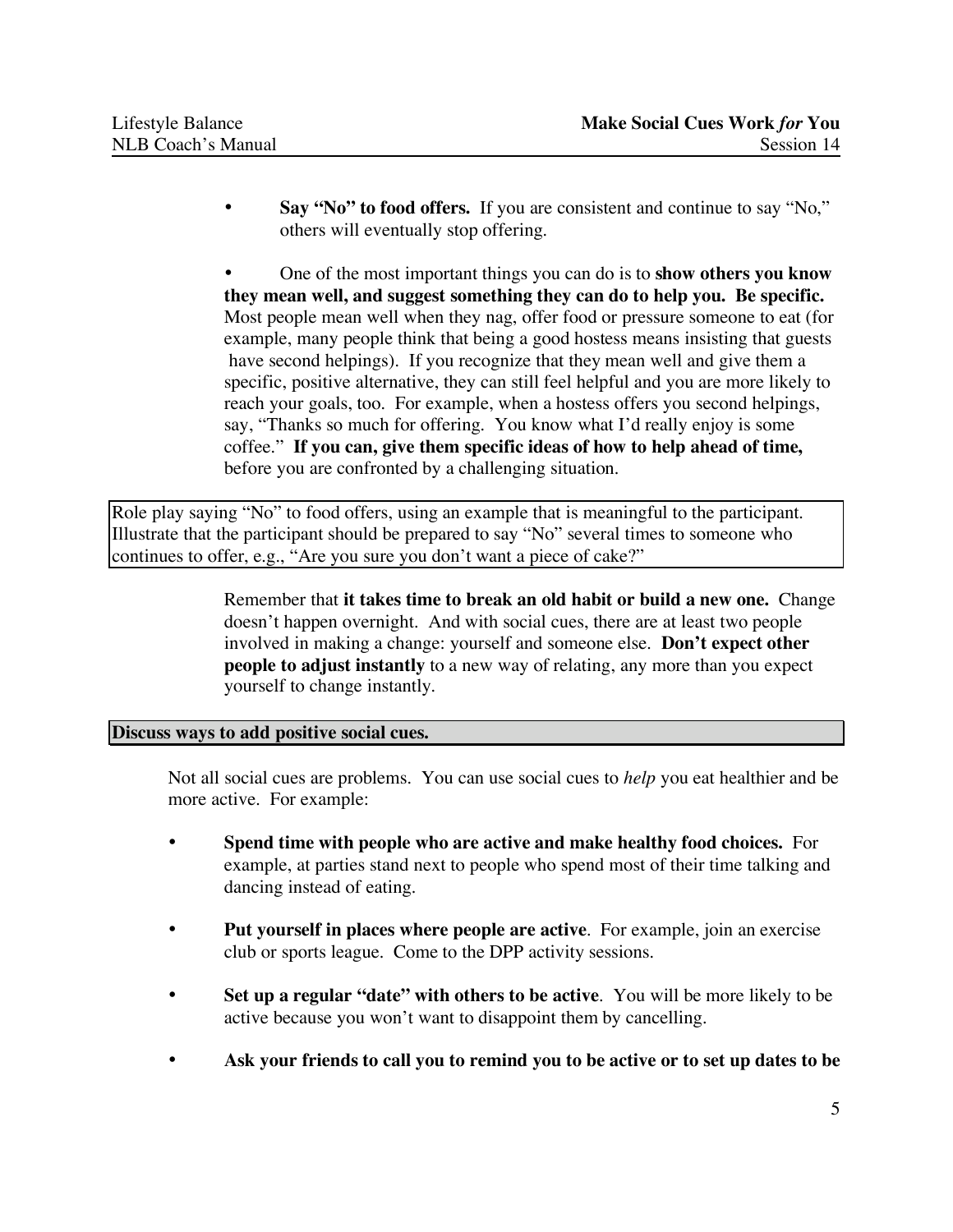• **Say "No" to food offers.** If you are consistent and continue to say "No," others will eventually stop offering.

• One of the most important things you can do is to **show others you know they mean well, and suggest something they can do to help you. Be specific.** Most people mean well when they nag, offer food or pressure someone to eat (for example, many people think that being a good hostess means insisting that guests have second helpings). If you recognize that they mean well and give them a specific, positive alternative, they can still feel helpful and you are more likely to reach your goals, too. For example, when a hostess offers you second helpings, say, "Thanks so much for offering. You know what I'd really enjoy is some coffee." **If you can, give them specific ideas of how to help ahead of time,** before you are confronted by a challenging situation.

Role play saying "No" to food offers, using an example that is meaningful to the participant. Illustrate that the participant should be prepared to say "No" several times to someone who continues to offer, e.g., "Are you sure you don't want a piece of cake?"

> Remember that **it takes time to break an old habit or build a new one.** Change doesn't happen overnight. And with social cues, there are at least two people involved in making a change: yourself and someone else. **Don't expect other people to adjust instantly** to a new way of relating, any more than you expect yourself to change instantly.

## **Discuss ways to add positive social cues.**

Not all social cues are problems. You can use social cues to *help* you eat healthier and be more active. For example:

- **Spend time with people who are active and make healthy food choices.** For example, at parties stand next to people who spend most of their time talking and dancing instead of eating.
- **Put yourself in places where people are active**. For example, join an exercise club or sports league. Come to the DPP activity sessions.
- **Set up a regular "date" with others to be active**. You will be more likely to be active because you won't want to disappoint them by cancelling.
- **Ask your friends to call you to remind you to be active or to set up dates to be**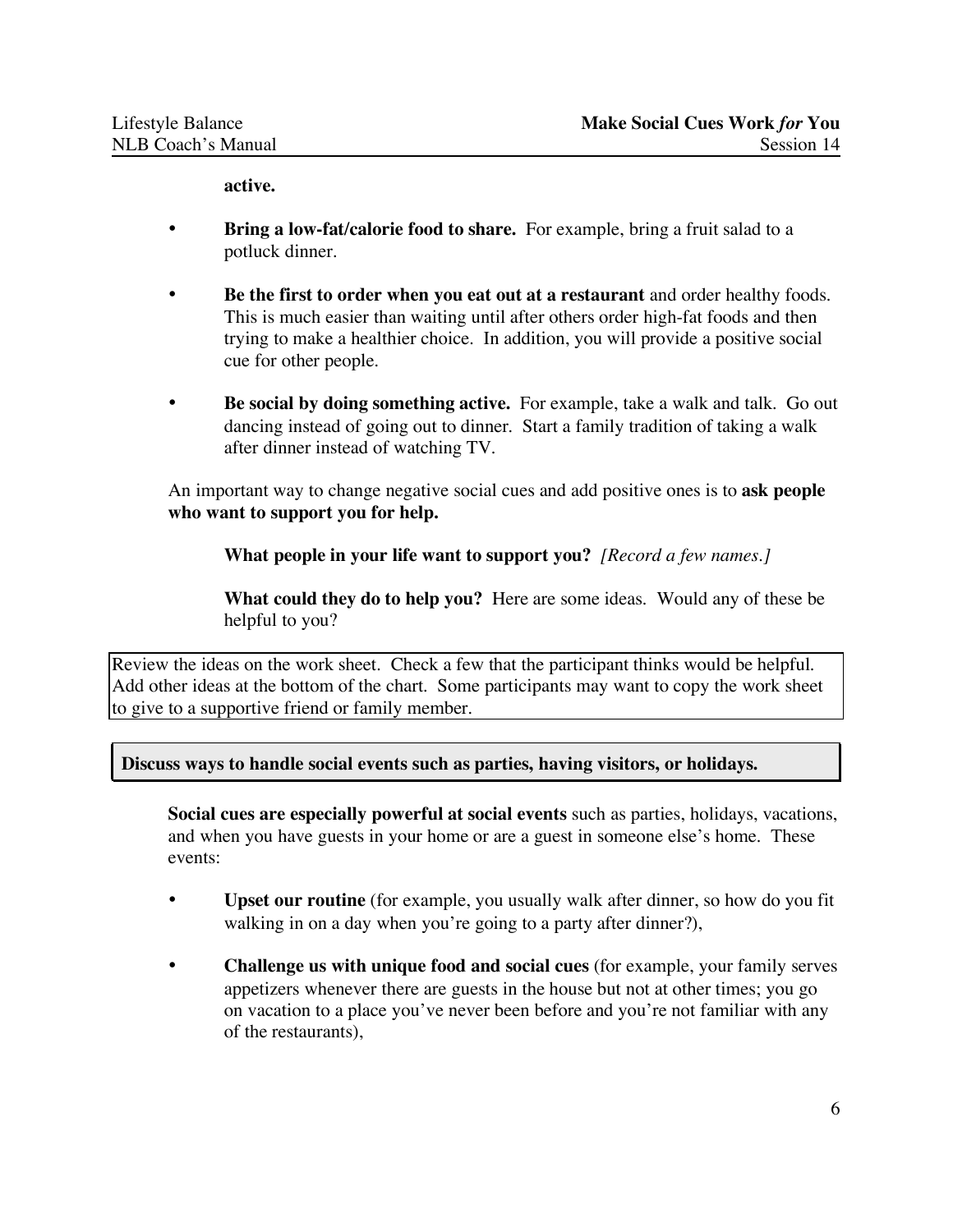**active.**

- **Bring a low-fat/calorie food to share.** For example, bring a fruit salad to a potluck dinner.
- **Be the first to order when you eat out at a restaurant** and order healthy foods. This is much easier than waiting until after others order high-fat foods and then trying to make a healthier choice. In addition, you will provide a positive social cue for other people.
- **Be social by doing something active.** For example, take a walk and talk. Go out dancing instead of going out to dinner. Start a family tradition of taking a walk after dinner instead of watching TV.

An important way to change negative social cues and add positive ones is to **ask people who want to support you for help.**

**What people in your life want to support you?** *[Record a few names.]*

**What could they do to help you?** Here are some ideas. Would any of these be helpful to you?

Review the ideas on the work sheet. Check a few that the participant thinks would be helpful. Add other ideas at the bottom of the chart. Some participants may want to copy the work sheet to give to a supportive friend or family member.

**Discuss ways to handle social events such as parties, having visitors, or holidays.**

**Social cues are especially powerful at social events** such as parties, holidays, vacations, and when you have guests in your home or are a guest in someone else's home. These events:

- **Upset our routine** (for example, you usually walk after dinner, so how do you fit walking in on a day when you're going to a party after dinner?),
- **Challenge us with unique food and social cues** (for example, your family serves appetizers whenever there are guests in the house but not at other times; you go on vacation to a place you've never been before and you're not familiar with any of the restaurants),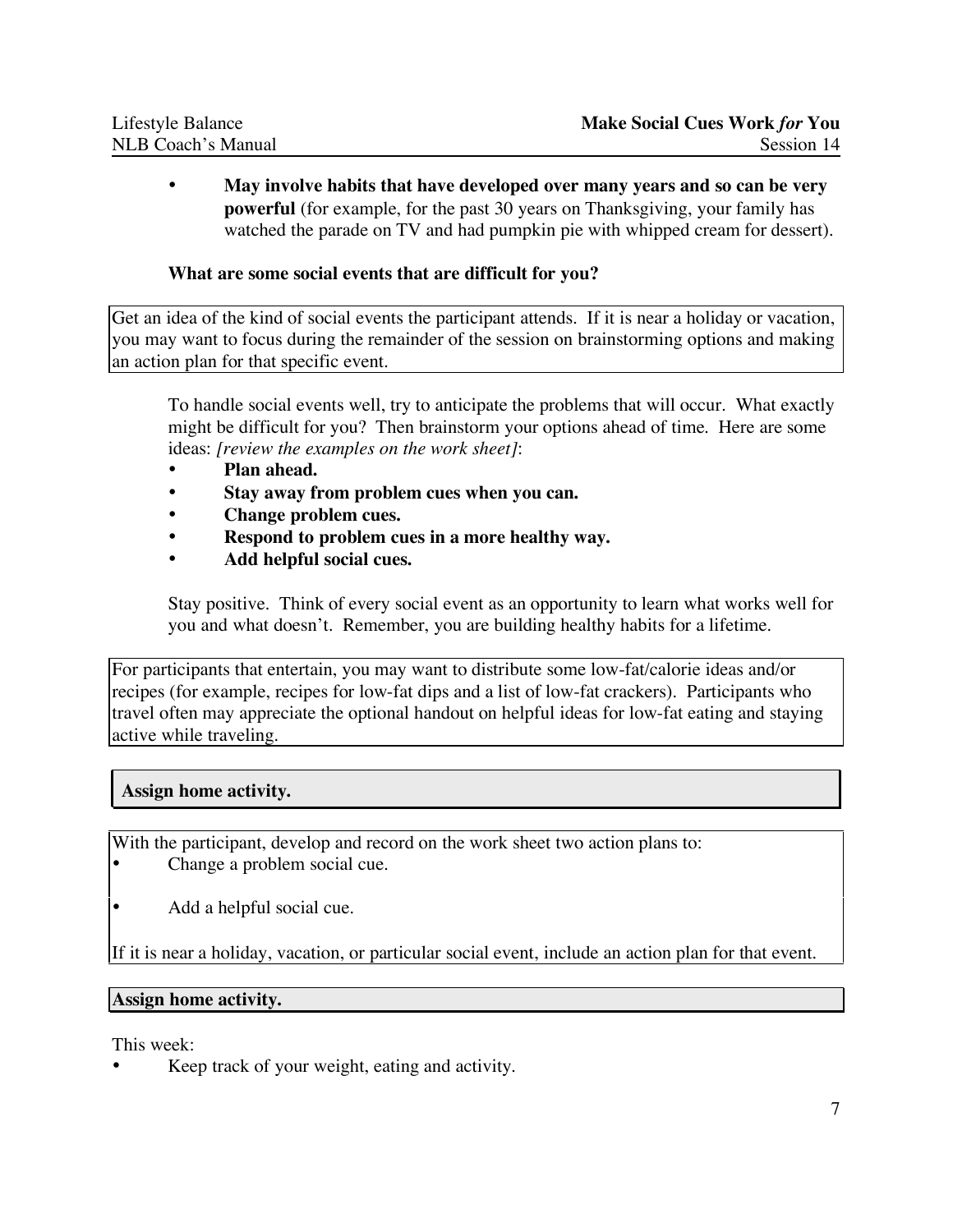• **May involve habits that have developed over many years and so can be very powerful** (for example, for the past 30 years on Thanksgiving, your family has watched the parade on TV and had pumpkin pie with whipped cream for dessert).

# **What are some social events that are difficult for you?**

Get an idea of the kind of social events the participant attends. If it is near a holiday or vacation, you may want to focus during the remainder of the session on brainstorming options and making an action plan for that specific event.

To handle social events well, try to anticipate the problems that will occur. What exactly might be difficult for you? Then brainstorm your options ahead of time. Here are some ideas: *[review the examples on the work sheet]*:

- **Plan ahead.**
- **Stay away from problem cues when you can.**
- **Change problem cues.**
- **Respond to problem cues in a more healthy way.**
- **Add helpful social cues.**

Stay positive. Think of every social event as an opportunity to learn what works well for you and what doesn't. Remember, you are building healthy habits for a lifetime.

For participants that entertain, you may want to distribute some low-fat/calorie ideas and/or recipes (for example, recipes for low-fat dips and a list of low-fat crackers). Participants who travel often may appreciate the optional handout on helpful ideas for low-fat eating and staying active while traveling.

# **Assign home activity.**

With the participant, develop and record on the work sheet two action plans to: Change a problem social cue.

• Add a helpful social cue.

If it is near a holiday, vacation, or particular social event, include an action plan for that event.

## **Assign home activity.**

This week:

Keep track of your weight, eating and activity.